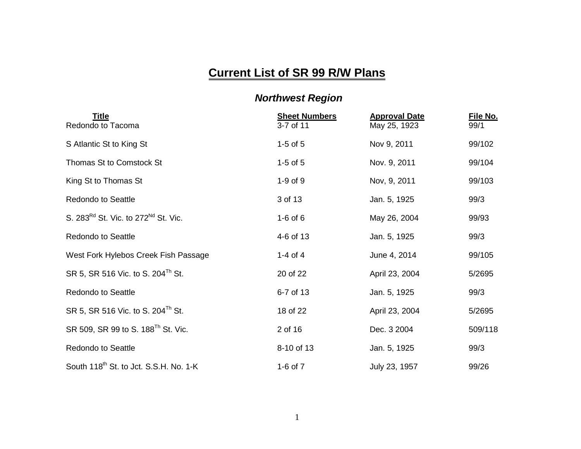## **Current List of SR 99 R/W Plans**

## *Northwest Region*

| <b>Title</b><br>Redondo to Tacoma                  | <b>Sheet Numbers</b><br>3-7 of 11 | <b>Approval Date</b><br>May 25, 1923 | File No.<br>99/1 |
|----------------------------------------------------|-----------------------------------|--------------------------------------|------------------|
| S Atlantic St to King St                           | $1-5$ of $5$                      | Nov 9, 2011                          | 99/102           |
| Thomas St to Comstock St                           | $1-5$ of $5$                      | Nov. 9, 2011                         | 99/104           |
| King St to Thomas St                               | $1-9$ of $9$                      | Nov, 9, 2011                         | 99/103           |
| <b>Redondo to Seattle</b>                          | 3 of 13                           | Jan. 5, 1925                         | 99/3             |
| S. 283 $^{Rd}$ St. Vic. to 272 $^{Nd}$ St. Vic.    | $1-6$ of $6$                      | May 26, 2004                         | 99/93            |
| <b>Redondo to Seattle</b>                          | 4-6 of 13                         | Jan. 5, 1925                         | 99/3             |
| West Fork Hylebos Creek Fish Passage               | 1-4 of 4                          | June 4, 2014                         | 99/105           |
| SR 5, SR 516 Vic. to S. 204 <sup>Th</sup> St.      | 20 of 22                          | April 23, 2004                       | 5/2695           |
| <b>Redondo to Seattle</b>                          | 6-7 of 13                         | Jan. 5, 1925                         | 99/3             |
| SR 5, SR 516 Vic. to S. 204 <sup>Th</sup> St.      | 18 of 22                          | April 23, 2004                       | 5/2695           |
| SR 509, SR 99 to S. 188 <sup>Th</sup> St. Vic.     | 2 of 16                           | Dec. 3 2004                          | 509/118          |
| <b>Redondo to Seattle</b>                          | 8-10 of 13                        | Jan. 5, 1925                         | 99/3             |
| South 118 <sup>th</sup> St. to Jct. S.S.H. No. 1-K | 1-6 of $7$                        | July 23, 1957                        | 99/26            |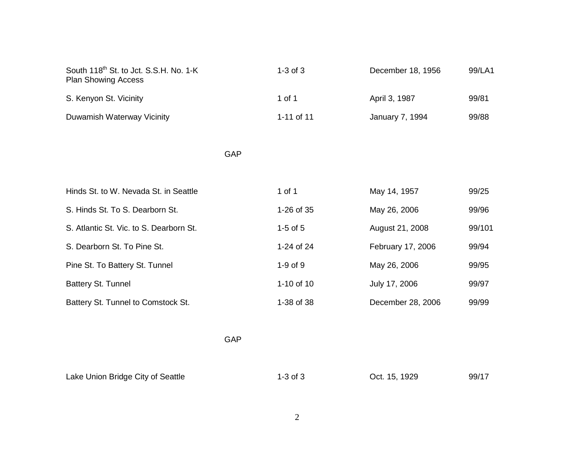| South 118 <sup>th</sup> St. to Jct. S.S.H. No. 1-K<br><b>Plan Showing Access</b> |            | $1-3$ of $3$ | December 18, 1956 | 99/LA1 |
|----------------------------------------------------------------------------------|------------|--------------|-------------------|--------|
| S. Kenyon St. Vicinity                                                           |            | 1 of 1       | April 3, 1987     | 99/81  |
| Duwamish Waterway Vicinity                                                       |            | 1-11 of 11   | January 7, 1994   | 99/88  |
|                                                                                  | GAP        |              |                   |        |
|                                                                                  |            |              |                   |        |
| Hinds St. to W. Nevada St. in Seattle                                            |            | 1 of 1       | May 14, 1957      | 99/25  |
| S. Hinds St. To S. Dearborn St.                                                  |            | 1-26 of 35   | May 26, 2006      | 99/96  |
| S. Atlantic St. Vic. to S. Dearborn St.                                          |            | $1-5$ of $5$ | August 21, 2008   | 99/101 |
| S. Dearborn St. To Pine St.                                                      |            | 1-24 of 24   | February 17, 2006 | 99/94  |
| Pine St. To Battery St. Tunnel                                                   |            | 1-9 of 9     | May 26, 2006      | 99/95  |
| Battery St. Tunnel                                                               |            | 1-10 of 10   | July 17, 2006     | 99/97  |
| Battery St. Tunnel to Comstock St.                                               |            | 1-38 of 38   | December 28, 2006 | 99/99  |
|                                                                                  | <b>GAP</b> |              |                   |        |
|                                                                                  |            |              |                   |        |
| Lake Union Bridge City of Seattle                                                |            | $1-3$ of $3$ | Oct. 15, 1929     | 99/17  |

2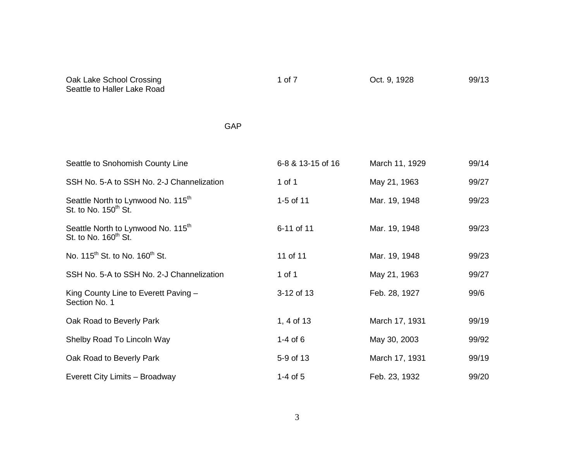| 1 of 7            | Oct. 9, 1928   | 99/13 |
|-------------------|----------------|-------|
|                   |                |       |
| 6-8 & 13-15 of 16 | March 11, 1929 | 99/14 |
| 1 of 1            | May 21, 1963   | 99/27 |
| 1-5 of 11         | Mar. 19, 1948  | 99/23 |
| 6-11 of 11        | Mar. 19, 1948  | 99/23 |
| 11 of 11          | Mar. 19, 1948  | 99/23 |
| 1 of 1            | May 21, 1963   | 99/27 |
| 3-12 of 13        | Feb. 28, 1927  | 99/6  |
| 1, 4 of 13        | March 17, 1931 | 99/19 |
| $1-4$ of 6        | May 30, 2003   | 99/92 |
| 5-9 of 13         | March 17, 1931 | 99/19 |
| $1-4$ of $5$      | Feb. 23, 1932  | 99/20 |
|                   |                |       |

3